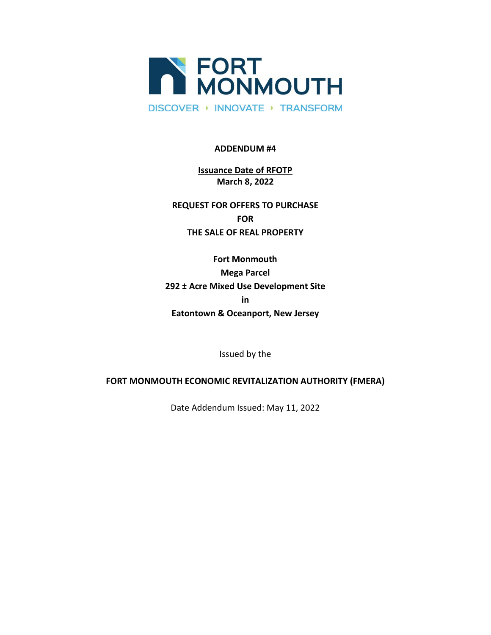

### **ADDENDUM #4**

# **Issuance Date of RFOTP March 8, 2022**

**REQUEST FOR OFFERS TO PURCHASE FOR THE SALE OF REAL PROPERTY**

**Fort Monmouth Mega Parcel 292 ± Acre Mixed Use Development Site in Eatontown & Oceanport, New Jersey**

Issued by the

## **FORT MONMOUTH ECONOMIC REVITALIZATION AUTHORITY (FMERA)**

Date Addendum Issued: May 11, 2022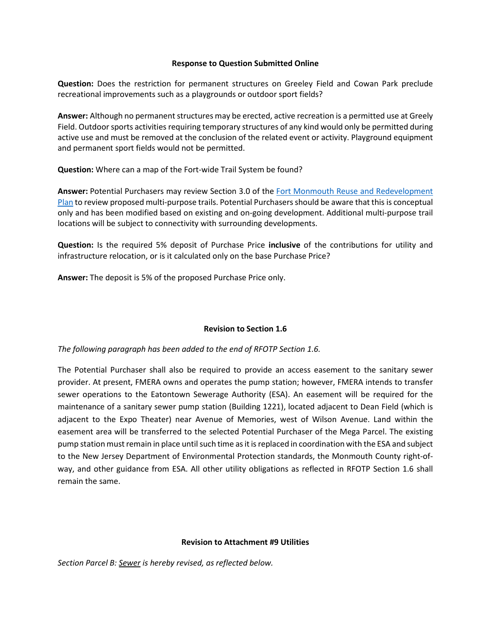### **Response to Question Submitted Online**

**Question:** Does the restriction for permanent structures on Greeley Field and Cowan Park preclude recreational improvements such as a playgrounds or outdoor sport fields?

**Answer:** Although no permanent structures may be erected, active recreation is a permitted use at Greely Field. Outdoor sports activities requiring temporary structures of any kind would only be permitted during active use and must be removed at the conclusion of the related event or activity. Playground equipment and permanent sport fields would not be permitted.

**Question:** Where can a map of the Fort-wide Trail System be found?

**Answer:** Potential Purchasers may review Section 3.0 of the [Fort Monmouth Reuse and Redevelopment](https://www.fortmonmouthnj.com/developer-information/reuse-and-redevelopment-plan/)  [Plan](https://www.fortmonmouthnj.com/developer-information/reuse-and-redevelopment-plan/) to review proposed multi-purpose trails. Potential Purchasers should be aware that this is conceptual only and has been modified based on existing and on-going development. Additional multi-purpose trail locations will be subject to connectivity with surrounding developments.

**Question:** Is the required 5% deposit of Purchase Price **inclusive** of the contributions for utility and infrastructure relocation, or is it calculated only on the base Purchase Price?

**Answer:** The deposit is 5% of the proposed Purchase Price only.

## **Revision to Section 1.6**

*The following paragraph has been added to the end of RFOTP Section 1.6.*

The Potential Purchaser shall also be required to provide an access easement to the sanitary sewer provider. At present, FMERA owns and operates the pump station; however, FMERA intends to transfer sewer operations to the Eatontown Sewerage Authority (ESA). An easement will be required for the maintenance of a sanitary sewer pump station (Building 1221), located adjacent to Dean Field (which is adjacent to the Expo Theater) near Avenue of Memories, west of Wilson Avenue. Land within the easement area will be transferred to the selected Potential Purchaser of the Mega Parcel. The existing pump station must remain in place until such time as it is replaced in coordination with the ESA and subject to the New Jersey Department of Environmental Protection standards, the Monmouth County right-ofway, and other guidance from ESA. All other utility obligations as reflected in RFOTP Section 1.6 shall remain the same.

## **Revision to Attachment #9 Utilities**

*Section Parcel B: Sewer is hereby revised, as reflected below.*